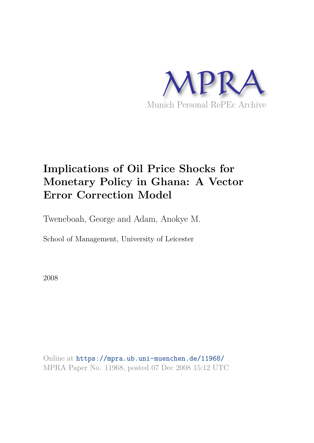

# **Implications of Oil Price Shocks for Monetary Policy in Ghana: A Vector Error Correction Model**

Tweneboah, George and Adam, Anokye M.

School of Management, University of Leicester

2008

Online at https://mpra.ub.uni-muenchen.de/11968/ MPRA Paper No. 11968, posted 07 Dec 2008 15:12 UTC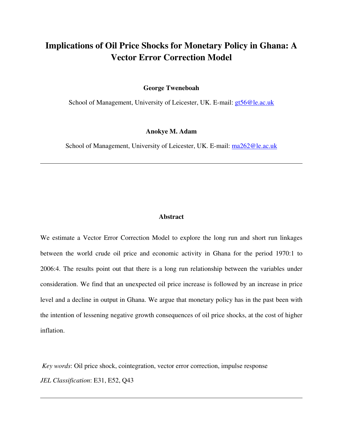## **Implications of Oil Price Shocks for Monetary Policy in Ghana: A Vector Error Correction Model**

**George Tweneboah** 

School of Management, University of Leicester, UK. E-mail: gt56@le.ac.uk

### **Anokye M. Adam**

School of Management, University of Leicester, UK. E-mail: ma262@le.ac.uk

 $\overline{a}$ 

 $\overline{a}$ 

## **Abstract**

We estimate a Vector Error Correction Model to explore the long run and short run linkages between the world crude oil price and economic activity in Ghana for the period 1970:1 to 2006:4. The results point out that there is a long run relationship between the variables under consideration. We find that an unexpected oil price increase is followed by an increase in price level and a decline in output in Ghana. We argue that monetary policy has in the past been with the intention of lessening negative growth consequences of oil price shocks, at the cost of higher inflation.

*Key words*: Oil price shock, cointegration, vector error correction, impulse response *JEL Classification*: E31, E52, Q43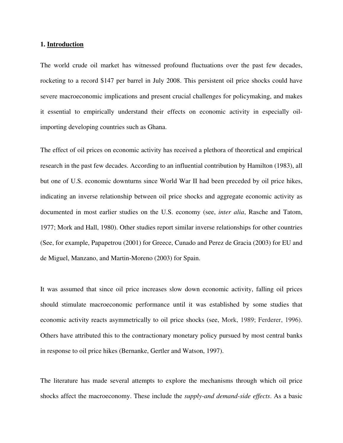#### **1. Introduction**

The world crude oil market has witnessed profound fluctuations over the past few decades, rocketing to a record \$147 per barrel in July 2008. This persistent oil price shocks could have severe macroeconomic implications and present crucial challenges for policymaking, and makes it essential to empirically understand their effects on economic activity in especially oilimporting developing countries such as Ghana.

The effect of oil prices on economic activity has received a plethora of theoretical and empirical research in the past few decades. According to an influential contribution by Hamilton (1983), all but one of U.S. economic downturns since World War II had been preceded by oil price hikes, indicating an inverse relationship between oil price shocks and aggregate economic activity as documented in most earlier studies on the U.S. economy (see, *inter alia*, Rasche and Tatom, 1977; Mork and Hall, 1980). Other studies report similar inverse relationships for other countries (See, for example, Papapetrou (2001) for Greece, Cunado and Perez de Gracia (2003) for EU and de Miguel, Manzano, and Martin-Moreno (2003) for Spain.

It was assumed that since oil price increases slow down economic activity, falling oil prices should stimulate macroeconomic performance until it was established by some studies that economic activity reacts asymmetrically to oil price shocks (see, Mork, 1989; Ferderer, 1996). Others have attributed this to the contractionary monetary policy pursued by most central banks in response to oil price hikes (Bernanke, Gertler and Watson, 1997).

The literature has made several attempts to explore the mechanisms through which oil price shocks affect the macroeconomy. These include the *supply-and demand-side effects*. As a basic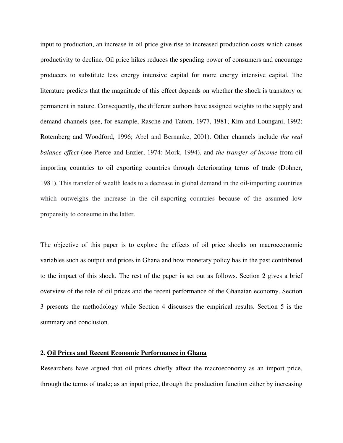input to production, an increase in oil price give rise to increased production costs which causes productivity to decline. Oil price hikes reduces the spending power of consumers and encourage producers to substitute less energy intensive capital for more energy intensive capital. The literature predicts that the magnitude of this effect depends on whether the shock is transitory or permanent in nature. Consequently, the different authors have assigned weights to the supply and demand channels (see, for example, Rasche and Tatom, 1977, 1981; Kim and Loungani, 1992; Rotemberg and Woodford, 1996; Abel and Bernanke, 2001). Other channels include *the real balance effect* (see Pierce and Enzler, 1974; Mork, 1994), and *the transfer of income* from oil importing countries to oil exporting countries through deteriorating terms of trade (Dohner, 1981). This transfer of wealth leads to a decrease in global demand in the oil-importing countries which outweighs the increase in the oil-exporting countries because of the assumed low propensity to consume in the latter.

The objective of this paper is to explore the effects of oil price shocks on macroeconomic variables such as output and prices in Ghana and how monetary policy has in the past contributed to the impact of this shock. The rest of the paper is set out as follows. Section 2 gives a brief overview of the role of oil prices and the recent performance of the Ghanaian economy. Section 3 presents the methodology while Section 4 discusses the empirical results. Section 5 is the summary and conclusion.

## **2. Oil Prices and Recent Economic Performance in Ghana**

Researchers have argued that oil prices chiefly affect the macroeconomy as an import price, through the terms of trade; as an input price, through the production function either by increasing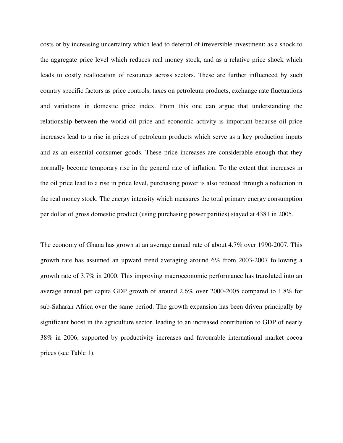costs or by increasing uncertainty which lead to deferral of irreversible investment; as a shock to the aggregate price level which reduces real money stock, and as a relative price shock which leads to costly reallocation of resources across sectors. These are further influenced by such country specific factors as price controls, taxes on petroleum products, exchange rate fluctuations and variations in domestic price index. From this one can argue that understanding the relationship between the world oil price and economic activity is important because oil price increases lead to a rise in prices of petroleum products which serve as a key production inputs and as an essential consumer goods. These price increases are considerable enough that they normally become temporary rise in the general rate of inflation. To the extent that increases in the oil price lead to a rise in price level, purchasing power is also reduced through a reduction in the real money stock. The energy intensity which measures the total primary energy consumption per dollar of gross domestic product (using purchasing power parities) stayed at 4381 in 2005.

The economy of Ghana has grown at an average annual rate of about 4.7% over 1990-2007. This growth rate has assumed an upward trend averaging around 6% from 2003-2007 following a growth rate of 3.7% in 2000. This improving macroeconomic performance has translated into an average annual per capita GDP growth of around 2.6% over 2000-2005 compared to 1.8% for sub-Saharan Africa over the same period. The growth expansion has been driven principally by significant boost in the agriculture sector, leading to an increased contribution to GDP of nearly 38% in 2006, supported by productivity increases and favourable international market cocoa prices (see Table 1).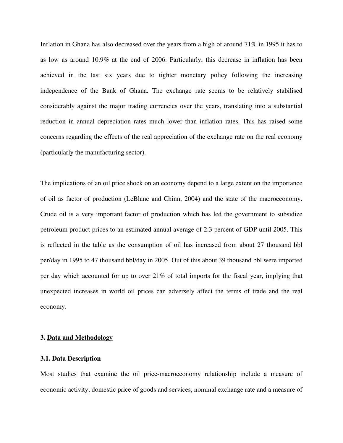Inflation in Ghana has also decreased over the years from a high of around 71% in 1995 it has to as low as around 10.9% at the end of 2006. Particularly, this decrease in inflation has been achieved in the last six years due to tighter monetary policy following the increasing independence of the Bank of Ghana. The exchange rate seems to be relatively stabilised considerably against the major trading currencies over the years, translating into a substantial reduction in annual depreciation rates much lower than inflation rates. This has raised some concerns regarding the effects of the real appreciation of the exchange rate on the real economy (particularly the manufacturing sector).

The implications of an oil price shock on an economy depend to a large extent on the importance of oil as factor of production (LeBlanc and Chinn, 2004) and the state of the macroeconomy. Crude oil is a very important factor of production which has led the government to subsidize petroleum product prices to an estimated annual average of 2.3 percent of GDP until 2005. This is reflected in the table as the consumption of oil has increased from about 27 thousand bbl per/day in 1995 to 47 thousand bbl/day in 2005. Out of this about 39 thousand bbl were imported per day which accounted for up to over 21% of total imports for the fiscal year, implying that unexpected increases in world oil prices can adversely affect the terms of trade and the real economy.

#### **3. Data and Methodology**

### **3.1. Data Description**

Most studies that examine the oil price-macroeconomy relationship include a measure of economic activity, domestic price of goods and services, nominal exchange rate and a measure of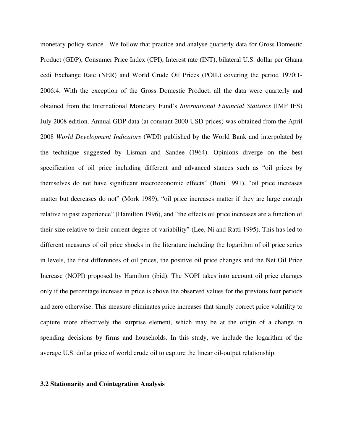monetary policy stance. We follow that practice and analyse quarterly data for Gross Domestic Product (GDP), Consumer Price Index (CPI), Interest rate (INT), bilateral U.S. dollar per Ghana cedi Exchange Rate (NER) and World Crude Oil Prices (POIL) covering the period 1970:1- 2006:4. With the exception of the Gross Domestic Product, all the data were quarterly and obtained from the International Monetary Fund's *International Financial Statistics* (IMF IFS) July 2008 edition. Annual GDP data (at constant 2000 USD prices) was obtained from the April 2008 *World Development Indicators* (WDI) published by the World Bank and interpolated by the technique suggested by Lisman and Sandee **(**1964). Opinions diverge on the best specification of oil price including different and advanced stances such as "oil prices by themselves do not have significant macroeconomic effects" (Bohi 1991), "oil price increases matter but decreases do not" (Mork 1989), "oil price increases matter if they are large enough relative to past experience" (Hamilton 1996), and "the effects oil price increases are a function of their size relative to their current degree of variability" (Lee, Ni and Ratti 1995). This has led to different measures of oil price shocks in the literature including the logarithm of oil price series in levels, the first differences of oil prices, the positive oil price changes and the Net Oil Price Increase (NOPI) proposed by Hamilton (ibid). The NOPI takes into account oil price changes only if the percentage increase in price is above the observed values for the previous four periods and zero otherwise. This measure eliminates price increases that simply correct price volatility to capture more effectively the surprise element, which may be at the origin of a change in spending decisions by firms and households. In this study, we include the logarithm of the average U.S. dollar price of world crude oil to capture the linear oil-output relationship.

## **3.2 Stationarity and Cointegration Analysis**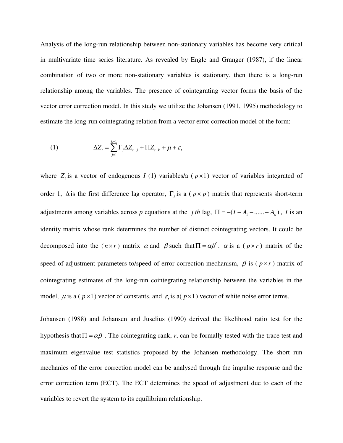Analysis of the long-run relationship between non-stationary variables has become very critical in multivariate time series literature. As revealed by Engle and Granger (1987), if the linear combination of two or more non-stationary variables is stationary, then there is a long-run relationship among the variables. The presence of cointegrating vector forms the basis of the vector error correction model. In this study we utilize the Johansen (1991, 1995) methodology to estimate the long-run cointegrating relation from a vector error correction model of the form:

(1) 
$$
\Delta Z_t = \sum_{j=1}^{k-1} \Gamma_j \Delta Z_{t-j} + \Pi Z_{t-k} + \mu + \varepsilon_t
$$

where  $Z_t$  is a vector of endogenous *I* (1) variables/a ( $p \times 1$ ) vector of variables integrated of order 1,  $\Delta$  is the first difference lag operator,  $\Gamma_j$  is a ( $p \times p$ ) matrix that represents short-term adjustments among variables across *p* equations at the *j th* lag,  $\Pi = -(I - A_1 - \dots - A_k)$ , *I* is an identity matrix whose rank determines the number of distinct cointegrating vectors. It could be decomposed into the  $(n \times r)$  matrix  $\alpha$  and  $\beta$  such that  $\Pi = \alpha \beta'$ .  $\alpha$  is a  $(p \times r)$  matrix of the speed of adjustment parameters to/speed of error correction mechanism,  $\beta$  is ( $p \times r$ ) matrix of cointegrating estimates of the long-run cointegrating relationship between the variables in the model,  $\mu$  is a ( $p \times 1$ ) vector of constants, and  $\varepsilon$ <sub>i</sub> is a( $p \times 1$ ) vector of white noise error terms.

Johansen (1988) and Johansen and Juselius (1990) derived the likelihood ratio test for the hypothesis that  $\Pi = \alpha \beta'$ . The cointegrating rank, *r*, can be formally tested with the trace test and maximum eigenvalue test statistics proposed by the Johansen methodology. The short run mechanics of the error correction model can be analysed through the impulse response and the error correction term (ECT). The ECT determines the speed of adjustment due to each of the variables to revert the system to its equilibrium relationship.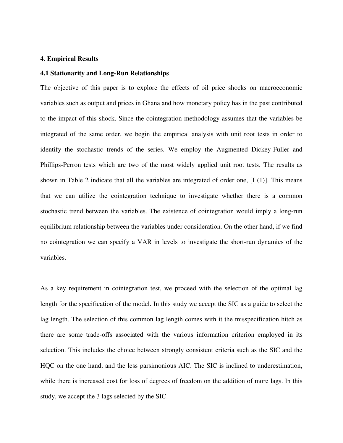## **4. Empirical Results**

## **4.1 Stationarity and Long-Run Relationships**

The objective of this paper is to explore the effects of oil price shocks on macroeconomic variables such as output and prices in Ghana and how monetary policy has in the past contributed to the impact of this shock. Since the cointegration methodology assumes that the variables be integrated of the same order, we begin the empirical analysis with unit root tests in order to identify the stochastic trends of the series. We employ the Augmented Dickey-Fuller and Phillips-Perron tests which are two of the most widely applied unit root tests. The results as shown in Table 2 indicate that all the variables are integrated of order one, [I (1)]. This means that we can utilize the cointegration technique to investigate whether there is a common stochastic trend between the variables. The existence of cointegration would imply a long-run equilibrium relationship between the variables under consideration. On the other hand, if we find no cointegration we can specify a VAR in levels to investigate the short-run dynamics of the variables.

As a key requirement in cointegration test, we proceed with the selection of the optimal lag length for the specification of the model. In this study we accept the SIC as a guide to select the lag length. The selection of this common lag length comes with it the misspecification hitch as there are some trade-offs associated with the various information criterion employed in its selection. This includes the choice between strongly consistent criteria such as the SIC and the HQC on the one hand, and the less parsimonious AIC. The SIC is inclined to underestimation, while there is increased cost for loss of degrees of freedom on the addition of more lags. In this study, we accept the 3 lags selected by the SIC.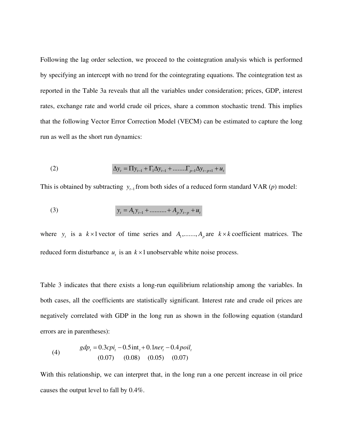Following the lag order selection, we proceed to the cointegration analysis which is performed by specifying an intercept with no trend for the cointegrating equations. The cointegration test as reported in the Table 3a reveals that all the variables under consideration; prices, GDP, interest rates, exchange rate and world crude oil prices, share a common stochastic trend. This implies that the following Vector Error Correction Model (VECM) can be estimated to capture the long run as well as the short run dynamics:

(2) 
$$
\Delta y_t = \Pi y_{t-1} + \Gamma_1 \Delta y_{t-1} + \dots \dots \Gamma_{p-1} \Delta y_{t-p+1} + u_t
$$

This is obtained by subtracting  $y_{t-1}$  from both sides of a reduced form standard VAR (*p*) model:

(3) 
$$
y_t = A_1 y_{t-1} + \dots + A_p y_{t-p} + u_t
$$

where  $y_t$  is a  $k \times 1$  vector of time series and  $A_1$ ,...,,,,,,, $A_p$  are  $k \times k$  coefficient matrices. The reduced form disturbance  $u_t$  is an  $k \times 1$  unobservable white noise process.

Table 3 indicates that there exists a long-run equilibrium relationship among the variables. In both cases, all the coefficients are statistically significant. Interest rate and crude oil prices are negatively correlated with GDP in the long run as shown in the following equation (standard errors are in parentheses):

(4) 
$$
gdp_t = 0.3cpi_t - 0.5\text{int}_t + 0.1ner_t - 0.4poli_t
$$

$$
(0.07) (0.08) (0.05) (0.07)
$$

With this relationship, we can interpret that, in the long run a one percent increase in oil price causes the output level to fall by 0.4%.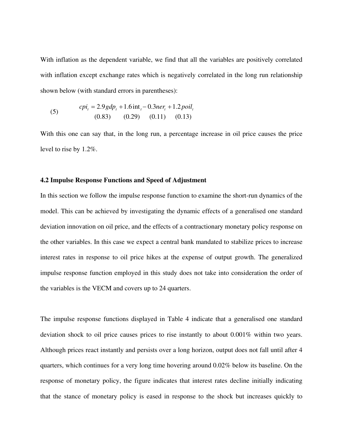With inflation as the dependent variable, we find that all the variables are positively correlated with inflation except exchange rates which is negatively correlated in the long run relationship shown below (with standard errors in parentheses):

(5) 
$$
cpi_i = 2.9 gdp_t + 1.6 \text{ int}_t - 0.3n e r_t + 1.2 \text{ point}_t
$$

$$
(0.83) \qquad (0.29) \qquad (0.11) \qquad (0.13)
$$

With this one can say that, in the long run, a percentage increase in oil price causes the price level to rise by 1.2%.

### **4.2 Impulse Response Functions and Speed of Adjustment**

In this section we follow the impulse response function to examine the short-run dynamics of the model. This can be achieved by investigating the dynamic effects of a generalised one standard deviation innovation on oil price, and the effects of a contractionary monetary policy response on the other variables. In this case we expect a central bank mandated to stabilize prices to increase interest rates in response to oil price hikes at the expense of output growth. The generalized impulse response function employed in this study does not take into consideration the order of the variables is the VECM and covers up to 24 quarters.

The impulse response functions displayed in Table 4 indicate that a generalised one standard deviation shock to oil price causes prices to rise instantly to about 0.001% within two years. Although prices react instantly and persists over a long horizon, output does not fall until after 4 quarters, which continues for a very long time hovering around 0.02% below its baseline. On the response of monetary policy, the figure indicates that interest rates decline initially indicating that the stance of monetary policy is eased in response to the shock but increases quickly to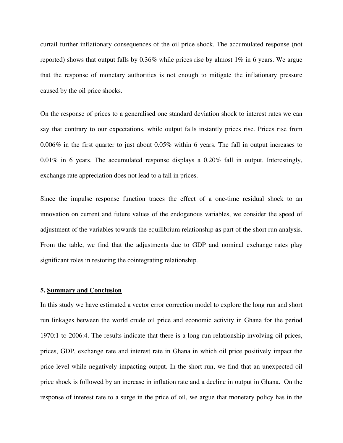curtail further inflationary consequences of the oil price shock. The accumulated response (not reported) shows that output falls by  $0.36\%$  while prices rise by almost 1% in 6 years. We argue that the response of monetary authorities is not enough to mitigate the inflationary pressure caused by the oil price shocks.

On the response of prices to a generalised one standard deviation shock to interest rates we can say that contrary to our expectations, while output falls instantly prices rise. Prices rise from 0.006% in the first quarter to just about 0.05% within 6 years. The fall in output increases to 0.01% in 6 years. The accumulated response displays a 0.20% fall in output. Interestingly, exchange rate appreciation does not lead to a fall in prices.

Since the impulse response function traces the effect of a one-time residual shock to an innovation on current and future values of the endogenous variables, we consider the speed of adjustment of the variables towards the equilibrium relationship **a**s part of the short run analysis. From the table, we find that the adjustments due to GDP and nominal exchange rates play significant roles in restoring the cointegrating relationship.

#### **5. Summary and Conclusion**

In this study we have estimated a vector error correction model to explore the long run and short run linkages between the world crude oil price and economic activity in Ghana for the period 1970:1 to 2006:4. The results indicate that there is a long run relationship involving oil prices, prices, GDP, exchange rate and interest rate in Ghana in which oil price positively impact the price level while negatively impacting output. In the short run, we find that an unexpected oil price shock is followed by an increase in inflation rate and a decline in output in Ghana. On the response of interest rate to a surge in the price of oil, we argue that monetary policy has in the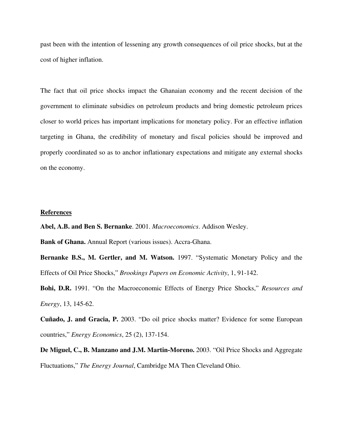past been with the intention of lessening any growth consequences of oil price shocks, but at the cost of higher inflation.

The fact that oil price shocks impact the Ghanaian economy and the recent decision of the government to eliminate subsidies on petroleum products and bring domestic petroleum prices closer to world prices has important implications for monetary policy. For an effective inflation targeting in Ghana, the credibility of monetary and fiscal policies should be improved and properly coordinated so as to anchor inflationary expectations and mitigate any external shocks on the economy.

## **References**

**Abel, A.B. and Ben S. Bernanke**. 2001. *Macroeconomics*. Addison Wesley.

**Bank of Ghana.** Annual Report (various issues). Accra-Ghana.

**Bernanke B.S., M. Gertler, and M. Watson.** 1997. "Systematic Monetary Policy and the Effects of Oil Price Shocks," *Brookings Papers on Economic Activity*, 1, 91-142.

**Bohi, D.R.** 1991. "On the Macroeconomic Effects of Energy Price Shocks," *Resources and Energy*, 13, 145-62.

**Cuñado, J. and Gracia, P.** 2003. "Do oil price shocks matter? Evidence for some European countries," *Energy Economics*, 25 (2), 137-154.

**De Miguel, C., B. Manzano and J.M. Martin-Moreno.** 2003. "Oil Price Shocks and Aggregate Fluctuations," *The Energy Journal*, Cambridge MA Then Cleveland Ohio.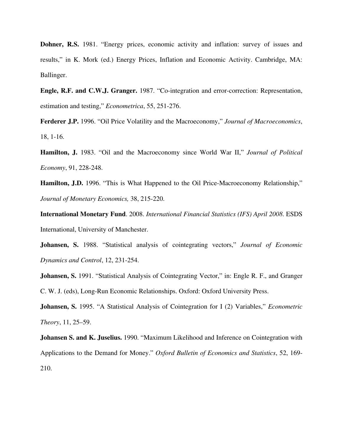**Dohner, R.S.** 1981. "Energy prices, economic activity and inflation: survey of issues and results," in K. Mork (ed.) Energy Prices, Inflation and Economic Activity. Cambridge, MA: Ballinger.

**Engle, R.F. and C.W.J. Granger.** 1987. "Co-integration and error-correction: Representation, estimation and testing," *Econometrica*, 55, 251-276.

**Ferderer J.P.** 1996. "Oil Price Volatility and the Macroeconomy," *Journal of Macroeconomics*, 18, 1-16.

**Hamilton, J.** 1983. "Oil and the Macroeconomy since World War II," *Journal of Political Economy*, 91, 228-248.

**Hamilton, J.D.** 1996. "This is What Happened to the Oil Price-Macroeconomy Relationship," *Journal of Monetary Economics,* 38, 215-220.

**International Monetary Fund**. 2008. *International Financial Statistics (IFS) April 2008*. ESDS International, University of Manchester.

**Johansen, S.** 1988. "Statistical analysis of cointegrating vectors," *Journal of Economic Dynamics and Control*, 12, 231-254.

**Johansen, S.** 1991. "Statistical Analysis of Cointegrating Vector," in: Engle R. F., and Granger C. W. J. (eds), Long-Run Economic Relationships. Oxford: Oxford University Press.

**Johansen, S.** 1995. "A Statistical Analysis of Cointegration for I (2) Variables," *Econometric Theory*, 11, 25–59.

**Johansen S. and K. Juselius.** 1990. "Maximum Likelihood and Inference on Cointegration with Applications to the Demand for Money." *Oxford Bulletin of Economics and Statistics*, 52, 169- 210.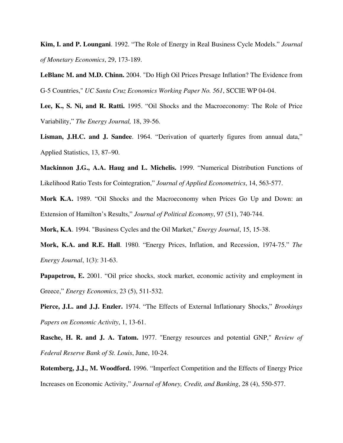**Kim, I. and P. Loungani**. 1992. "The Role of Energy in Real Business Cycle Models." *Journal of Monetary Economics*, 29, 173-189.

**LeBlanc M. and M.D. Chinn.** 2004. "Do High Oil Prices Presage Inflation? The Evidence from G-5 Countries," *UC Santa Cruz Economics Working Paper No. 561*, SCCIE WP 04-04.

**Lee, K., S. Ni, and R. Ratti.** 1995. "Oil Shocks and the Macroeconomy: The Role of Price Variability," *The Energy Journal,* 18, 39-56.

**Lisman, J.H.C. and J. Sandee**. 1964. "Derivation of quarterly figures from annual data," Applied Statistics, 13, 87–90.

**Mackinnon J.G., A.A. Haug and L. Michelis.** 1999. "Numerical Distribution Functions of Likelihood Ratio Tests for Cointegration," *Journal of Applied Econometrics*, 14, 563-577.

**Mork K.A.** 1989. "Oil Shocks and the Macroeconomy when Prices Go Up and Down: an Extension of Hamilton's Results," *Journal of Political Economy*, 97 (51), 740-744.

**Mork, K.A**. 1994. "Business Cycles and the Oil Market," *Energy Journal*, 15, 15-38.

**Mork, K.A. and R.E. Hall**. 1980. "Energy Prices, Inflation, and Recession, 1974-75." *The Energy Journal*, 1(3): 31-63.

**Papapetrou, E.** 2001. "Oil price shocks, stock market, economic activity and employment in Greece," *Energy Economics*, 23 (5), 511-532.

**Pierce, J.L. and J.J. Enzler.** 1974. "The Effects of External Inflationary Shocks," *Brookings Papers on Economic Activity*, 1, 13-61.

**Rasche, H. R. and J. A. Tatom.** 1977. "Energy resources and potential GNP," *Review of Federal Reserve Bank of St. Louis*, June, 10-24.

**Rotemberg, J.J., M. Woodford.** 1996. "Imperfect Competition and the Effects of Energy Price Increases on Economic Activity," *Journal of Money, Credit, and Banking*, 28 (4), 550-577.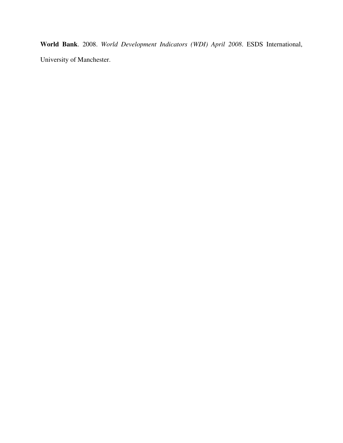**World Bank**. 2008. *World Development Indicators (WDI) April 2008*. ESDS International, University of Manchester.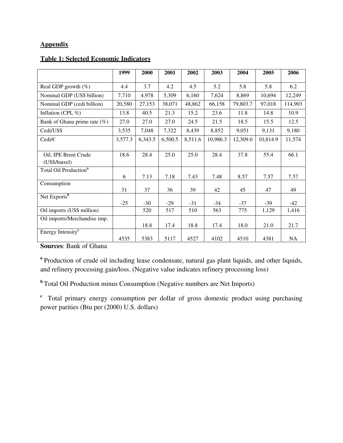## **Appendix**

## **Table 1: Selected Economic Indicators**

|                                   | 1999    | 2000    | 2001    | 2002    | 2003     | 2004     | 2005     | 2006      |
|-----------------------------------|---------|---------|---------|---------|----------|----------|----------|-----------|
|                                   |         |         |         |         |          |          |          |           |
| Real GDP growth (%)               | 4.4     | 3.7     | 4.2     | 4.5     | 5.2      | 5.8      | 5.8      | 6.2       |
| Nominal GDP (US\$ billion)        | 7,710   | 4,978   | 5,309   | 6,160   | 7,624    | 8,869    | 10,694   | 12,249    |
| Nominal GDP (cedi billion)        | 20,580  | 27,153  | 38,071  | 48,862  | 66,158   | 79,803.7 | 97,018   | 114,903   |
| Inflation (CPI, $\%$ )            | 13.8    | 40.5    | 21.3    | 15.2    | 23.6     | 11.8     | 14.8     | 10.9      |
| Bank of Ghana prime rate $(\%)$   | 27.0    | 27.0    | 27.0    | 24.5    | 21.5     | 18.5     | 15.5     | 12.5      |
| Cedi/US\$                         | 3,535   | 7,048   | 7,322   | 8,439   | 8,852    | 9,051    | 9,131    | 9,180     |
| Cedi/ $\in$                       | 3,577.3 | 6,343.5 | 6,500.5 | 8,511.6 | 10,986.3 | 12,309.0 | 10,814.9 | 11,574    |
|                                   |         |         |         |         |          |          |          |           |
| Oil, IPE Brent Crude              | 18.6    | 28.4    | 25.0    | 25.0    | 28.4     | 37.8     | 55.4     | 66.1      |
| (US\$/barrel)                     |         |         |         |         |          |          |          |           |
| Total Oil Production <sup>a</sup> |         |         |         |         |          |          |          |           |
|                                   | 6       | 7.13    | 7.18    | 7.43    | 7.48     | 8.57     | 7.57     | 7.57      |
| Consumption                       |         |         |         |         |          |          |          |           |
|                                   | 31      | 37      | 36      | 39      | 42       | 45       | 47       | 49        |
| Net Exports <sup>b</sup>          |         |         |         |         |          |          |          |           |
|                                   | $-25$   | $-30$   | $-29$   | $-31$   | $-34$    | $-37$    | $-39$    | $-42$     |
| Oil imports (US\$ million)        |         | 520     | 517     | 510     | 563      | 775      | 1,129    | 1,416     |
| Oil imports/Merchandise imp.      |         |         |         |         |          |          |          |           |
|                                   |         | 18.8    | 17.4    | 18.8    | 17.4     | 18.0     | 21.0     | 21.7      |
| Energy Intensity <sup>c</sup>     |         |         |         |         |          |          |          |           |
|                                   | 4535    | 5383    | 5117    | 4527    | 4102     | 4510     | 4381     | <b>NA</b> |

**Sources**: Bank of Ghana

<sup>a</sup> Production of crude oil including lease condensate, natural gas plant liquids, and other liquids, and refinery processing gain/loss. (Negative value indicates refinery processing loss)

**b**Total Oil Production minus Consumption (Negative numbers are Net Imports)

<sup>c</sup> Total primary energy consumption per dollar of gross domestic product using purchasing power parities (Btu per (2000) U.S. dollars)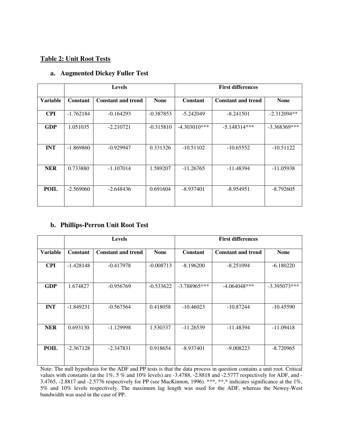## **Table 2: Unit Root Tests**

|                 |                 | <b>Levels</b>             |             | <b>First differences</b> |                           |                |
|-----------------|-----------------|---------------------------|-------------|--------------------------|---------------------------|----------------|
| <b>Variable</b> | <b>Constant</b> | <b>Constant and trend</b> | <b>None</b> | <b>Constant</b>          | <b>Constant and trend</b> | <b>None</b>    |
| <b>CPI</b>      | $-1.762184$     | $-0.164293$               | $-0.387853$ | $-5.242049$              | $-8.241501$               | $-2.312094**$  |
| <b>GDP</b>      | 1.051035        | $-2.210721$               | $-0.315810$ | $-4.303010***$           | $-5.148314***$            | $-3.368369***$ |
| <b>INT</b>      | $-1.869860$     | $-0.929947$               | 0.331326    | $-10.51102$              | $-10.65552$               | $-10.51122$    |
| <b>NER</b>      | 0.733880        | $-1.107014$               | 1.589207    | $-11.26765$              | -11.48394                 | $-11.05938$    |
| <b>POIL</b>     | $-2.569060$     | $-2.648436$               | 0.691604    | $-8.937401$              | $-8.954951$               | $-8.792605$    |

## **a. Augmented Dickey Fuller Test**

## **b. Phillips-Perron Unit Root Test**

|            |                 | <b>Levels</b>             |             | <b>First differences</b> |                           |                |
|------------|-----------------|---------------------------|-------------|--------------------------|---------------------------|----------------|
| Variable   | <b>Constant</b> | <b>Constant and trend</b> | <b>None</b> | Constant                 | <b>Constant and trend</b> | <b>None</b>    |
| <b>CPI</b> | $-1.428148$     | $-0.417978$               | $-0.008713$ | $-8.196200$              | $-8.251094$               | $-6.180220$    |
| <b>GDP</b> | 1.674827        | $-0.956769$               | $-0.533622$ | $-3.788965***$           | $-4.064048***$            | $-3.395073***$ |
| <b>INT</b> | $-1.849231$     | $-0.567564$               | 0.418058    | $-10.46023$              | $-10.87244$               | $-10.45590$    |
| <b>NER</b> | 0.693130        | $-1.129998$               | 1.530337    | $-11.26539$              | $-11.48394$               | $-11.09418$    |
| POIL       | $-2.367128$     | $-2.347831$               | 0.918654    | $-8.937401$              | $-9.008223$               | $-8.720965$    |

Note: The null hypothesis for the ADF and PP tests is that the data process in question contains a unit root. Critical values with constants (at the 1%, 5 % and 10% levels) are -3.4788, -2.8818 and -2.5777 respectively for ADF, and - 3.4765, -2.8817 and -2.5776 respectively for PP (see MacKinnon, 1996). \*\*\*, \*\*,\* indicates significance at the 1%, 5% and 10% levels respectively. The maximum lag length was used for the ADF, whereas the Newey-West bandwidth was used in the case of PP.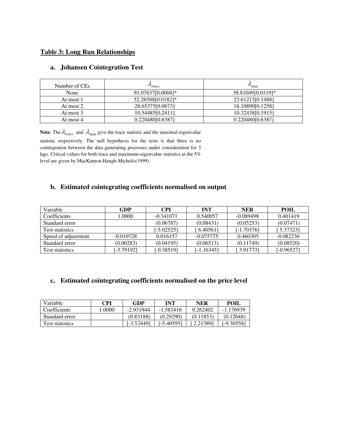## **Table 3: Long Run Relationships**

| Number of CEs | $\mathcal{L}_{trace}$ | $v_{\rm max}$     |
|---------------|-----------------------|-------------------|
| None          | 91.07637[0.0004]*     | 38.81049[0.0119]* |
| At most 1     | 52.26588[0.0182]*     | 23.61213[0.1488]  |
| At most 2     | 28.65375[0.0673]      | 18.10890[0.1258]  |
| At most 3     | 10.54485[0.2411]      | 10.32438[0.1915]  |
| At most 4     | 0.220480[0.6387]      | 0.220480[0.6387]  |

## **a. Johansen Cointegration Test**

**Note:** The  $\lambda_{\text{trace}}$  and  $\lambda_{\text{max}}$  give the trace statistic and the maximal-eigenvalue statistic respectively. The null hypothesis for the tests is that there is no

cointegration between the data generating processes under consideration for 3 lags. Critical values for both trace and maximum-eigenvalue statistics at the 5% level are given by MacKinnon-Haugh-Michelis(1999).

## **b. Estimated cointegrating coefficients normalised on output**

| Variable               | GDP         | <b>CPI</b>   | INT          | <b>NER</b>   | POIL         |
|------------------------|-------------|--------------|--------------|--------------|--------------|
| Coefficients           | 1.0000      | $-0.341071$  | 0.540057     | $-0.089498$  | 0.401419     |
| Standard error         |             | (0.06787)    | (0.08431)    | (0.05253)    | (0.07471)    |
| <b>Test statistics</b> |             | $[-5.02525]$ | 6.40561      | $[-1.70376]$ | [5.37323]    |
| Speed of adjustment    | $-0.010728$ | 0.016157     | $-0.075775$  | 0.460305     | $-0.082236$  |
| Standard error         | (0.00283)   | (0.04195)    | (0.06513)    | (0.11749)    | (0.08520)    |
| <b>Test statistics</b> | [-3.79192]  | 0.38519      | $[-1.16345]$ | [3.91773]    | $[-0.96527]$ |

## **c. Estimated cointegrating coefficients normalised on the price level**

| Variable               | CPI    | GDP        | INT         | <b>NER</b> | POIL       |
|------------------------|--------|------------|-------------|------------|------------|
| Coefficients           | 1.0000 | -2.931944  | $-1.583416$ | 0.262402   | -1.176939  |
| Standard error         |        | (0.83188)  | (0.29290)   | (0.11853)  | (0.12648)  |
| <b>Test statistics</b> |        | [-3.52449] | [-5.40595]  | 2.21389 ا  | [-9.30558] |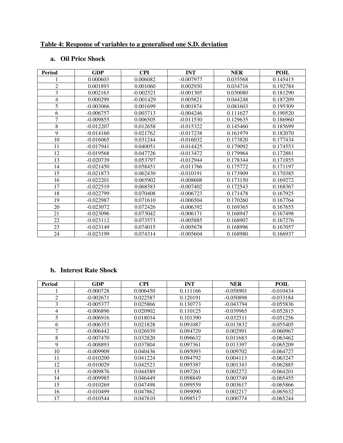## **Table 4: Response of variables to a generalised one S.D. deviation**

## **a. Oil Price Shock**

| <b>Period</b>  | <b>GDP</b>  | <b>CPI</b>  | <b>INT</b>  | <b>NER</b> | <b>POIL</b> |
|----------------|-------------|-------------|-------------|------------|-------------|
|                | 0.000603    | 0.006082    | $-0.007977$ | 0.035568   | 0.145415    |
| $\overline{2}$ | 0.001893    | 0.001060    | 0.002930    | 0.034716   | 0.192784    |
| 3              | 0.002163    | $-0.002521$ | $-0.001305$ | 0.030080   | 0.181290    |
| 4              | 0.000299    | $-0.001429$ | 0.005821    | 0.044248   | 0.187209    |
| 5              | $-0.003066$ | 0.001699    | 0.001874    | 0.081603   | 0.195309    |
| 6              | $-0.006757$ | 0.003713    | $-0.004246$ | 0.111627   | 0.190520    |
| $\overline{7}$ | $-0.009855$ | 0.006505    | $-0.011530$ | 0.129635   | 0.186960    |
| 8              | $-0.012207$ | 0.012658    | $-0.015322$ | 0.145460   | 0.185699    |
| 9              | $-0.014160$ | 0.021762    | $-0.017238$ | 0.161979   | 0.182070    |
| 10             | $-0.016065$ | 0.031244    | $-0.016032$ | 0.173820   | 0.177434    |
| 11             | $-0.017941$ | 0.040051    | $-0.014425$ | 0.179092   | 0.174553    |
| 12             | $-0.019568$ | 0.047726    | $-0.013472$ | 0.179964   | 0.172881    |
| 13             | $-0.020739$ | 0.053797    | $-0.012944$ | 0.178344   | 0.171855    |
| 14             | $-0.021450$ | 0.058451    | $-0.011766$ | 0.175772   | 0.171197    |
| 15             | $-0.021873$ | 0.062430    | $-0.010191$ | 0.173909   | 0.170385    |
| 16             | $-0.022201$ | 0.065902    | $-0.008608$ | 0.173150   | 0.169272    |
| 17             | $-0.022519$ | 0.068583    | $-0.007402$ | 0.172543   | 0.168367    |
| 18             | $-0.022799$ | 0.070408    | $-0.006723$ | 0.171478   | 0.167925    |
| 19             | $-0.022987$ | 0.071610    | $-0.006504$ | 0.170260   | 0.167764    |
| 20             | $-0.023072$ | 0.072426    | $-0.006392$ | 0.169365   | 0.167655    |
| 21             | $-0.023096$ | 0.073042    | $-0.006171$ | 0.168947   | 0.167498    |
| 22             | $-0.023112$ | 0.073573    | $-0.005885$ | 0.168907   | 0.167276    |
| 23             | $-0.023149$ | 0.074015    | $-0.005678$ | 0.168996   | 0.167057    |
| 24             | $-0.023199$ | 0.074314    | $-0.005604$ | 0.168980   | 0.166937    |

## **b. Interest Rate Shock**

| <b>Period</b>  | <b>GDP</b>  | <b>CPI</b> | <b>INT</b> | <b>NER</b>  | POIL        |
|----------------|-------------|------------|------------|-------------|-------------|
|                | $-0.000728$ | 0.006450   | 0.111166   | $-0.058901$ | $-0.010434$ |
| $\overline{c}$ | $-0.002671$ | 0.022587   | 0.120191   | $-0.050898$ | $-0.033184$ |
| 3              | $-0.005377$ | 0.025866   | 0.130773   | $-0.043794$ | $-0.055836$ |
| 4              | $-0.006896$ | 0.020902   | 0.110125   | $-0.039965$ | $-0.052815$ |
| 5              | $-0.006916$ | 0.018034   | 0.101390   | $-0.032511$ | $-0.051256$ |
| 6              | $-0.006353$ | 0.021828   | 0.091087   | $-0.013832$ | $-0.055405$ |
| 7              | $-0.006442$ | 0.026939   | 0.094729   | 0.002991    | $-0.060967$ |
| 8              | $-0.007470$ | 0.032820   | 0.096632   | 0.011683    | $-0.063462$ |
| 9              | $-0.008893$ | 0.037804   | 0.097361   | 0.013397    | $-0.065209$ |
| 10             | $-0.009909$ | 0.040436   | 0.095093   | 0.009702    | $-0.064727$ |
| 11             | $-0.010200$ | 0.041224   | 0.094792   | 0.004113    | $-0.063247$ |
| 12             | $-0.010029$ | 0.042523   | 0.095387   | 0.001343    | $-0.062885$ |
| 13             | $-0.009876$ | 0.044589   | 0.097261   | 0.002272    | $-0.064201$ |
| 14             | $-0.009985$ | 0.046449   | 0.098849   | 0.003749    | $-0.065455$ |
| 15             | $-0.010269$ | 0.047498   | 0.099559   | 0.003617    | $-0.065866$ |
| 16             | $-0.010499$ | 0.047862   | 0.099090   | 0.002217    | $-0.065632$ |
| 17             | $-0.010544$ | 0.047810   | 0.098517   | 0.000774    | $-0.065244$ |